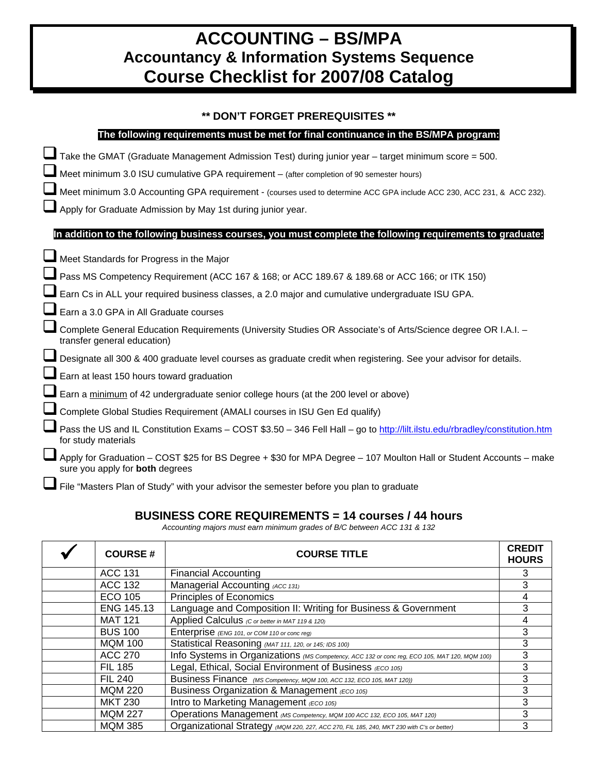# **ACCOUNTING – BS/MPA Accountancy & Information Systems Sequence Course Checklist for 2007/08 Catalog**

#### **\*\* DON'T FORGET PREREQUISITES \*\***

| The following requirements must be met for final continuance in the BS/MPA program:                                                                          |
|--------------------------------------------------------------------------------------------------------------------------------------------------------------|
| Take the GMAT (Graduate Management Admission Test) during junior year - target minimum score = 500.                                                          |
| Meet minimum 3.0 ISU cumulative GPA requirement - (after completion of 90 semester hours)                                                                    |
| Meet minimum 3.0 Accounting GPA requirement - (courses used to determine ACC GPA include ACC 230, ACC 231, & ACC 232).                                       |
| Apply for Graduate Admission by May 1st during junior year.                                                                                                  |
| In addition to the following business courses, you must complete the following requirements to graduate:                                                     |
| Meet Standards for Progress in the Major                                                                                                                     |
| Pass MS Competency Requirement (ACC 167 & 168; or ACC 189.67 & 189.68 or ACC 166; or ITK 150)                                                                |
| Earn Cs in ALL your required business classes, a 2.0 major and cumulative undergraduate ISU GPA.                                                             |
| Earn a 3.0 GPA in All Graduate courses                                                                                                                       |
| Complete General Education Requirements (University Studies OR Associate's of Arts/Science degree OR I.A.I. -<br>transfer general education)                 |
| Designate all 300 & 400 graduate level courses as graduate credit when registering. See your advisor for details.                                            |
| Earn at least 150 hours toward graduation                                                                                                                    |
| Earn a minimum of 42 undergraduate senior college hours (at the 200 level or above)                                                                          |
| Complete Global Studies Requirement (AMALI courses in ISU Gen Ed qualify)                                                                                    |
| Pass the US and IL Constitution Exams - COST \$3.50 - 346 Fell Hall - go to http://lilt.ilstu.edu/rbradley/constitution.htm<br>for study materials           |
| Apply for Graduation - COST \$25 for BS Degree + \$30 for MPA Degree - 107 Moulton Hall or Student Accounts - make<br>sure you apply for <b>both</b> degrees |
| File "Masters Plan of Study" with your advisor the semester before you plan to graduate                                                                      |

#### **BUSINESS CORE REQUIREMENTS = 14 courses / 44 hours**

*Accounting majors must earn minimum grades of B/C between ACC 131 & 132* 

| <b>COURSE#</b> | <b>COURSE TITLE</b>                                                                           | <b>CREDIT</b><br><b>HOURS</b> |
|----------------|-----------------------------------------------------------------------------------------------|-------------------------------|
| <b>ACC 131</b> | <b>Financial Accounting</b>                                                                   | 3                             |
| ACC 132        | Managerial Accounting (ACC 131)                                                               | 3                             |
| ECO 105        | Principles of Economics                                                                       | 4                             |
| ENG 145.13     | Language and Composition II: Writing for Business & Government                                |                               |
| <b>MAT 121</b> | Applied Calculus (C or better in MAT 119 & 120)                                               | 4                             |
| <b>BUS 100</b> | Enterprise (ENG 101, or COM 110 or conc reg)                                                  | 3                             |
| <b>MQM 100</b> | Statistical Reasoning (MAT 111, 120, or 145; IDS 100)                                         | 3                             |
| <b>ACC 270</b> | Info Systems in Organizations (MS Competency, ACC 132 or conc reg, ECO 105, MAT 120, MQM 100) |                               |
| <b>FIL 185</b> | Legal, Ethical, Social Environment of Business (ECO 105)                                      | 3                             |
| <b>FIL 240</b> | Business Finance (MS Competency, MQM 100, ACC 132, ECO 105, MAT 120))                         | 3                             |
| <b>MQM 220</b> | Business Organization & Management (ECO 105)                                                  | 3                             |
| <b>MKT 230</b> | Intro to Marketing Management (ECO 105)                                                       | 3                             |
| <b>MQM 227</b> | Operations Management (MS Competency, MQM 100 ACC 132, ECO 105, MAT 120)                      | 3                             |
| <b>MQM 385</b> | Organizational Strategy (MQM 220, 227, ACC 270, FIL 185, 240, MKT 230 with C's or better)     | 3                             |